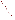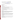# **Technical Factsheet on: CHLOROBENZENE**

[List of Contaminants](http://www.epa.gov/safewater/hfacts.html) 

 As part of the Drinking Water and Health pages, this fact sheet is part of a larger publication: **National Primary Drinking Water Regulations** 

# **Drinking Water Standards**

 MCL: 0.1 mg/L MCLG: 0.1 mg/L HAL: 1 to 10 day: 2 mg/L; Longer-term: 2 mg/L

# **Health Effects Summary**

Acute: EPA has found chlorobenzene to potentially cause anesthetic effects and impaired liver and kidney function from short-term exposures at levels above the MCL.

 consuming 1 liter of water per day: upto a 7-year exposure to 2 mg/L. Drinking water levels which are considered "safe" for short-term exposures: For a 10-kg (22 lb.) child

Chronic: Chlorobenzene has the potential to cause liver, kidney and central nervous system damage from long-term exposure at levels above the MCL.

 cancer from a lifetime exposure in drinking water. Cancer: There is inadequate evidence to state whether or not chlorobenzene has the potential to cause

### **Usage Patterns**

Production of chlorobenzene in 1988 was 270 million pounds, and was expected to decrease. Uses of chlorobenzene include: an intermediate in the manufacture of other organic chemicals, dyestuffs and insecticides (60%); as a solvent for adhesives, drugs, rubber, paints and dry-cleaning (30%); miscellaneous uses include fiber-swelling agent in textile processing.

### **Release Patterns**

 over 326,000 lbs. Releases to land totalled nearly 37,000 lbs. These releases were primarily from alkali and chlorine industries which use chlorobenzene in chlorination processes. Most of these releases occurred in West Virginia. Major environmental releases of chlorobenzene are due to its use as a solvent in pesticides. From 1987 to 1993, according to EPA's Toxic Chemical Release Inventory, chlorobenzene releases to water totalled

### **Environmental Fate**

 pesticide formulations and as an industrial solvent. Once released it will decrease in concentration due to dilution and photooxidation. Chlorobenzene will enter the atmosphere from fugitive emissions connected with its use as a solvent in

dilution and photooxidation.<br>Releases into water and onto land will dissipate due to vaporization into the atmosphere and slow biodegradation in the soil or water.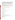It is relatively mobile in sandy soil and aquifer material and biodegrades very slowly or not at all in these soils. Therefore, it can be expected to leach into the groundwater. It has a moderate adsorption onto organic soil. If retained long enough, a large number of soil bacteria and fungi are capable of degrading chlorobenzene and mineralizing it. 2- and 4-chlorophenol are products of this biodegradation. Degradation will generally be slow, but fairly rapid mineralization (20%/week) has been reported in one study. Acclimation of soil microorganisms to hydrocarbon metabolism is an important factor.

 depending on the wind speed and water movement. The half-life for evaporation is approximately 4.5 In water, the primary loss will be due to evaporation, with a half-life estimated at up to 10 to 11 hours, hours with moderate wind speed.

Biodegradation will occur during the warmer seasons and will proceed more rapidly in fresh water than in estuarine and marine systems. Again, acclimation of soil microorganisms is important. A moderate amount of adsorption will occur onto organic sediments.

 Little bioconcentration is expected into fish and food products. Log BCF is 1to 2 for several species of fish.

Primary human exposure is from ambient air, especially near point sources.

### **Chemical/Physical Properties**

CAS Number: 108-90-7

Color/ Form/Odor: Colorless liquid with a faint, almond-like, aromatic odor

M.P.: -45.6 C B.P.: 132 C

Vapor Pressure: 11.8 mm Hg at 25 C

Octanol/Water Partition (Kow): Log Kow = 2.18 to 2.84

Density/Spec. Grav.: 1.11 at 20 C<br>Solubilities: 0.45 g/L in water

Soil sorption coefficient: N/A

Odor/Taste Thresholds: N/A

Soil sorption coefficient: N/A<br>Odor/Taste Thresholds: N/A<br>Bioconcentration Factor (BCF): Log BCF = 1 to 2 in fish; not significant

Henry's Law Coefficient: 0.00356 atm-cu m/mole (calculated)

 Carrier T 40, Tetrosin SP Trade Names/Synonyms: Benzene chloride, Chlorbenzol, Monochlorobenzene, Phenyl chloride, IP

#### **Other Regulatory Information**

Monitoring:

-- For Ground/Surface Water Sources: